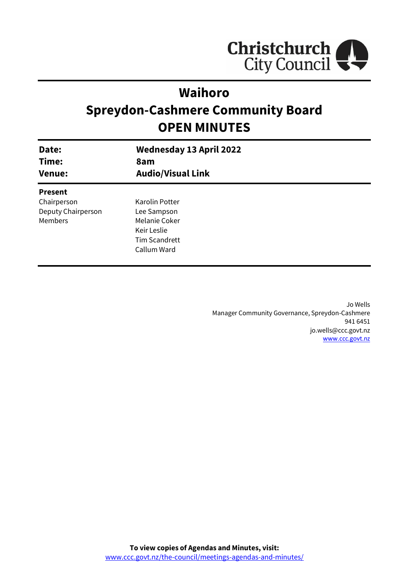

# **Waihoro**

# **Spreydon-Cashmere Community Board OPEN MINUTES**

| Date:<br>Time:<br><b>Venue:</b> | <b>Wednesday 13 April 2022</b><br>8am<br><b>Audio/Visual Link</b> |
|---------------------------------|-------------------------------------------------------------------|
|                                 |                                                                   |
| <b>Present</b>                  |                                                                   |
| Chairperson                     | Karolin Potter                                                    |
| Deputy Chairperson              | Lee Sampson                                                       |
| <b>Members</b>                  | Melanie Coker                                                     |
|                                 | Keir Leslie                                                       |
|                                 | <b>Tim Scandrett</b>                                              |
|                                 | Callum Ward                                                       |
|                                 |                                                                   |

Jo Wells Manager Community Governance, Spreydon-Cashmere 941 6451 jo.wells@ccc.govt.nz [www.ccc.govt.nz](http://www.ccc.govt.nz/)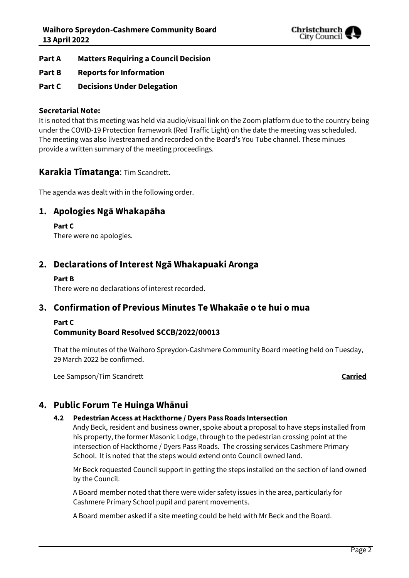

- **Part A Matters Requiring a Council Decision**
- **Part B Reports for Information**
- **Part C Decisions Under Delegation**

#### **Secretarial Note:**

It is noted that this meeting was held via audio/visual link on the Zoom platform due to the country being under the COVID-19 Protection framework (Red Traffic Light) on the date the meeting was scheduled. The meeting was also livestreamed and recorded on the Board's You Tube channel. These minues provide a written summary of the meeting proceedings.

#### **Karakia Tīmatanga**: Tim Scandrett.

The agenda was dealt with in the following order.

## **1. Apologies Ngā Whakapāha**

#### **Part C**

There were no apologies.

# **2. Declarations of Interest Ngā Whakapuaki Aronga**

#### **Part B**

There were no declarations of interest recorded.

### **3. Confirmation of Previous Minutes Te Whakaāe o te hui o mua**

#### **Part C**

#### **Community Board Resolved SCCB/2022/00013**

That the minutes of the Waihoro Spreydon-Cashmere Community Board meeting held on Tuesday, 29 March 2022 be confirmed.

Lee Sampson/Tim Scandrett **Carried**

# **4. Public Forum Te Huinga Whānui**

#### **4.2 Pedestrian Access at Hackthorne / Dyers Pass Roads Intersection**

Andy Beck, resident and business owner, spoke about a proposal to have steps installed from his property, the former Masonic Lodge, through to the pedestrian crossing point at the intersection of Hackthorne / Dyers Pass Roads. The crossing services Cashmere Primary School. It is noted that the steps would extend onto Council owned land.

Mr Beck requested Council support in getting the steps installed on the section of land owned by the Council.

A Board member noted that there were wider safety issues in the area, particularly for Cashmere Primary School pupil and parent movements.

A Board member asked if a site meeting could be held with Mr Beck and the Board.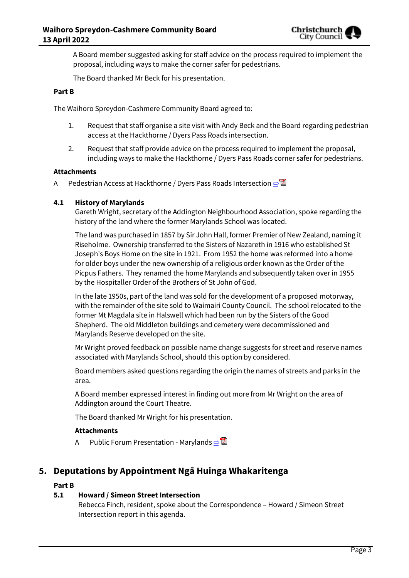

A Board member suggested asking for staff advice on the process required to implement the proposal, including ways to make the corner safer for pedestrians.

The Board thanked Mr Beck for his presentation.

#### **Part B**

The Waihoro Spreydon-Cashmere Community Board agreed to:

- 1. Request that staff organise a site visit with Andy Beck and the Board regarding pedestrian access at the Hackthorne / Dyers Pass Roads intersection.
- 2. Request that staff provide advice on the process required to implement the proposal, including ways to make the Hackthorne / Dyers Pass Roads corner safer for pedestrians.

#### **Attachments**

A Pedestrian Access at Hackthorne / Dyers Pass Roads Intersection **[⇨](../../../RedirectToInvalidFileName.aspx?FileName=SCCB_20220413_MAT_7750.PDF#PAGE=3)</u>** 

#### **4.1 History of Marylands**

Gareth Wright, secretary of the Addington Neighbourhood Association, spoke regarding the history of the land where the former Marylands School was located.

The land was purchased in 1857 by Sir John Hall, former Premier of New Zealand, naming it Riseholme. Ownership transferred to the Sisters of Nazareth in 1916 who established St Joseph's Boys Home on the site in 1921. From 1952 the home was reformed into a home for older boys under the new ownership of a religious order known as the Order of the Picpus Fathers. They renamed the home Marylands and subsequently taken over in 1955 by the Hospitaller Order of the Brothers of St John of God.

In the late 1950s, part of the land was sold for the development of a proposed motorway, with the remainder of the site sold to Waimairi County Council. The school relocated to the former Mt Magdala site in Halswell which had been run by the Sisters of the Good Shepherd. The old Middleton buildings and cemetery were decommissioned and Marylands Reserve developed on the site.

Mr Wright proved feedback on possible name change suggests for street and reserve names associated with Marylands School, should this option by considered.

Board members asked questions regarding the origin the names of streets and parks in the area.

A Board member expressed interest in finding out more from Mr Wright on the area of Addington around the Court Theatre.

The Board thanked Mr Wright for his presentation.

#### **Attachments**

A Public Forum Presentation - Marylands **[⇨](../../../RedirectToInvalidFileName.aspx?FileName=SCCB_20220413_MAT_7750.PDF#PAGE=6)</u>** 

### **5. Deputations by Appointment Ngā Huinga Whakaritenga**

#### **Part B**

#### **5.1 Howard / Simeon Street Intersection**

Rebecca Finch, resident, spoke about the Correspondence – Howard / Simeon Street Intersection report in this agenda.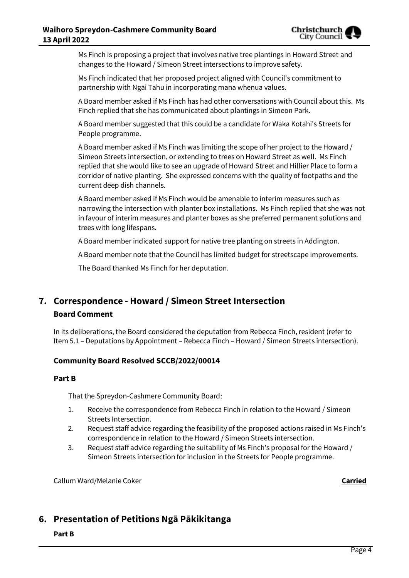

Ms Finch is proposing a project that involves native tree plantings in Howard Street and changes to the Howard / Simeon Street intersections to improve safety.

Ms Finch indicated that her proposed project aligned with Council's commitment to partnership with Ngāi Tahu in incorporating mana whenua values.

A Board member asked if Ms Finch has had other conversations with Council about this. Ms Finch replied that she has communicated about plantings in Simeon Park.

A Board member suggested that this could be a candidate for Waka Kotahi's Streets for People programme.

A Board member asked if Ms Finch was limiting the scope of her project to the Howard / Simeon Streets intersection, or extending to trees on Howard Street as well. Ms Finch replied that she would like to see an upgrade of Howard Street and Hillier Place to form a corridor of native planting. She expressed concerns with the quality of footpaths and the current deep dish channels.

A Board member asked if Ms Finch would be amenable to interim measures such as narrowing the intersection with planter box installations. Ms Finch replied that she was not in favour of interim measures and planter boxes as she preferred permanent solutions and trees with long lifespans.

A Board member indicated support for native tree planting on streets in Addington.

A Board member note that the Council has limited budget for streetscape improvements.

The Board thanked Ms Finch for her deputation.

# **7. Correspondence - Howard / Simeon Street Intersection Board Comment**

In its deliberations, the Board considered the deputation from Rebecca Finch, resident (refer to Item 5.1 – Deputations by Appointment – Rebecca Finch – Howard / Simeon Streets intersection).

#### **Community Board Resolved SCCB/2022/00014**

#### **Part B**

That the Spreydon-Cashmere Community Board:

- 1. Receive the correspondence from Rebecca Finch in relation to the Howard / Simeon Streets Intersection.
- 2. Request staff advice regarding the feasibility of the proposed actions raised in Ms Finch's correspondence in relation to the Howard / Simeon Streets intersection.
- 3. Request staff advice regarding the suitability of Ms Finch's proposal for the Howard / Simeon Streets intersection for inclusion in the Streets for People programme.

Callum Ward/Melanie Coker **Carried**

# **6. Presentation of Petitions Ngā Pākikitanga**

**Part B**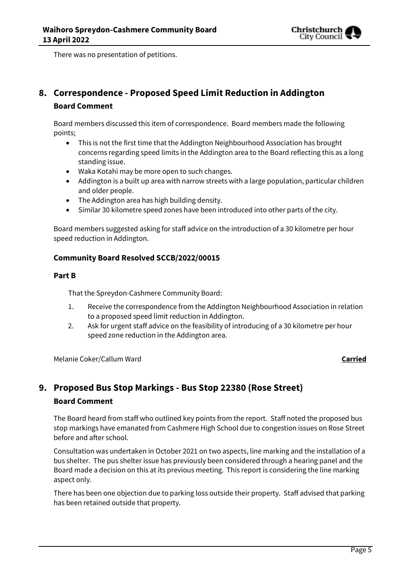

There was no presentation of petitions.

# **8. Correspondence - Proposed Speed Limit Reduction in Addington Board Comment**

Board members discussed this item of correspondence. Board members made the following points;

- This is not the first time that the Addington Neighbourhood Association has brought concerns regarding speed limits in the Addington area to the Board reflecting this as a long standing issue.
- Waka Kotahi may be more open to such changes.
- Addington is a built up area with narrow streets with a large population, particular children and older people.
- The Addington area has high building density.
- Similar 30 kilometre speed zones have been introduced into other parts of the city.

Board members suggested asking for staff advice on the introduction of a 30 kilometre per hour speed reduction in Addington.

### **Community Board Resolved SCCB/2022/00015**

#### **Part B**

That the Spreydon-Cashmere Community Board:

- 1. Receive the correspondence from the Addington Neighbourhood Association in relation to a proposed speed limit reduction in Addington.
- 2. Ask for urgent staff advice on the feasibility of introducing of a 30 kilometre per hour speed zone reduction in the Addington area.

Melanie Coker/Callum Ward **Carried**

# **9. Proposed Bus Stop Markings - Bus Stop 22380 (Rose Street) Board Comment**

The Board heard from staff who outlined key points from the report. Staff noted the proposed bus stop markings have emanated from Cashmere High School due to congestion issues on Rose Street before and after school.

Consultation was undertaken in October 2021 on two aspects, line marking and the installation of a bus shelter. The pus shelter issue has previously been considered through a hearing panel and the Board made a decision on this at its previous meeting. This report is considering the line marking aspect only.

There has been one objection due to parking loss outside their property. Staff advised that parking has been retained outside that property.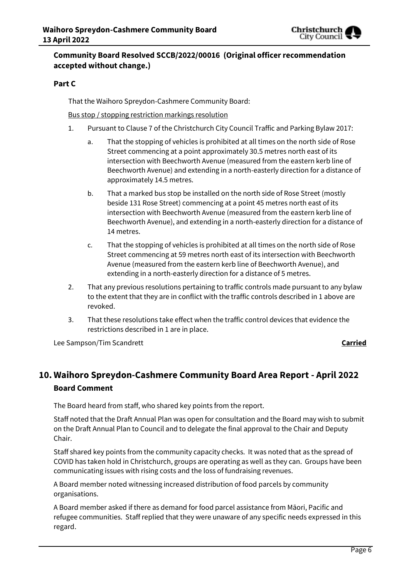

### **Community Board Resolved SCCB/2022/00016 (Original officer recommendation accepted without change.)**

#### **Part C**

That the Waihoro Spreydon-Cashmere Community Board:

#### Bus stop / stopping restriction markings resolution

- 1. Pursuant to Clause 7 of the Christchurch City Council Traffic and Parking Bylaw 2017:
	- a. That the stopping of vehicles is prohibited at all times on the north side of Rose Street commencing at a point approximately 30.5 metres north east of its intersection with Beechworth Avenue (measured from the eastern kerb line of Beechworth Avenue) and extending in a north-easterly direction for a distance of approximately 14.5 metres.
	- b. That a marked bus stop be installed on the north side of Rose Street (mostly beside 131 Rose Street) commencing at a point 45 metres north east of its intersection with Beechworth Avenue (measured from the eastern kerb line of Beechworth Avenue), and extending in a north-easterly direction for a distance of 14 metres.
	- c. That the stopping of vehicles is prohibited at all times on the north side of Rose Street commencing at 59 metres north east of its intersection with Beechworth Avenue (measured from the eastern kerb line of Beechworth Avenue), and extending in a north-easterly direction for a distance of 5 metres.
- 2. That any previous resolutions pertaining to traffic controls made pursuant to any bylaw to the extent that they are in conflict with the traffic controls described in 1 above are revoked.
- 3. That these resolutions take effect when the traffic control devices that evidence the restrictions described in 1 are in place.

Lee Sampson/Tim Scandrett **Carried**

# **10. Waihoro Spreydon-Cashmere Community Board Area Report - April 2022 Board Comment**

The Board heard from staff, who shared key points from the report.

Staff noted that the Draft Annual Plan was open for consultation and the Board may wish to submit on the Draft Annual Plan to Council and to delegate the final approval to the Chair and Deputy Chair.

Staff shared key points from the community capacity checks. It was noted that as the spread of COVID has taken hold in Christchurch, groups are operating as well as they can. Groups have been communicating issues with rising costs and the loss of fundraising revenues.

A Board member noted witnessing increased distribution of food parcels by community organisations.

A Board member asked if there as demand for food parcel assistance from Māori, Pacific and refugee communities. Staff replied that they were unaware of any specific needs expressed in this regard.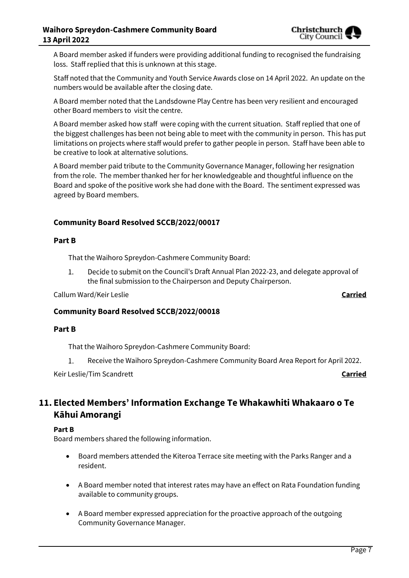

A Board member asked if funders were providing additional funding to recognised the fundraising loss. Staff replied that this is unknown at this stage.

Staff noted that the Community and Youth Service Awards close on 14 April 2022. An update on the numbers would be available after the closing date.

A Board member noted that the Landsdowne Play Centre has been very resilient and encouraged other Board members to visit the centre.

A Board member asked how staff were coping with the current situation. Staff replied that one of the biggest challenges has been not being able to meet with the community in person. This has put limitations on projects where staff would prefer to gather people in person. Staff have been able to be creative to look at alternative solutions.

A Board member paid tribute to the Community Governance Manager, following her resignation from the role. The member thanked her for her knowledgeable and thoughtful influence on the Board and spoke of the positive work she had done with the Board. The sentiment expressed was agreed by Board members.

### **Community Board Resolved SCCB/2022/00017**

#### **Part B**

That the Waihoro Spreydon-Cashmere Community Board:

1. Decide to submit on the Council's Draft Annual Plan 2022-23, and delegate approval of the final submission to the Chairperson and Deputy Chairperson.

Callum Ward/Keir Leslie **Carried**

#### **Community Board Resolved SCCB/2022/00018**

#### **Part B**

That the Waihoro Spreydon-Cashmere Community Board:

 $1.$ Receive the Waihoro Spreydon-Cashmere Community Board Area Report for April 2022.

Keir Leslie/Tim Scandrett **Carried**

# **11. Elected Members' Information Exchange Te Whakawhiti Whakaaro o Te Kāhui Amorangi**

#### **Part B**

Board members shared the following information.

- Board members attended the Kiteroa Terrace site meeting with the Parks Ranger and a resident.
- A Board member noted that interest rates may have an effect on Rata Foundation funding available to community groups.
- A Board member expressed appreciation for the proactive approach of the outgoing Community Governance Manager.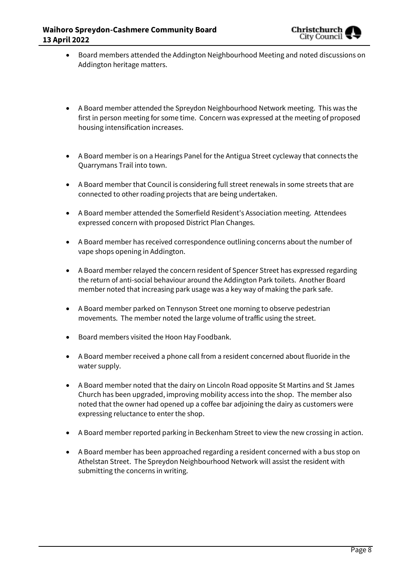

- Board members attended the Addington Neighbourhood Meeting and noted discussions on Addington heritage matters.
- A Board member attended the Spreydon Neighbourhood Network meeting. This was the first in person meeting for some time. Concern was expressed at the meeting of proposed housing intensification increases.
- A Board member is on a Hearings Panel for the Antigua Street cycleway that connects the Quarrymans Trail into town.
- A Board member that Council is considering full street renewals in some streets that are connected to other roading projects that are being undertaken.
- A Board member attended the Somerfield Resident's Association meeting. Attendees expressed concern with proposed District Plan Changes.
- A Board member has received correspondence outlining concerns about the number of vape shops opening in Addington.
- A Board member relayed the concern resident of Spencer Street has expressed regarding the return of anti-social behaviour around the Addington Park toilets. Another Board member noted that increasing park usage was a key way of making the park safe.
- A Board member parked on Tennyson Street one morning to observe pedestrian movements. The member noted the large volume of traffic using the street.
- Board members visited the Hoon Hay Foodbank.
- A Board member received a phone call from a resident concerned about fluoride in the water supply.
- A Board member noted that the dairy on Lincoln Road opposite St Martins and St James Church has been upgraded, improving mobility access into the shop. The member also noted that the owner had opened up a coffee bar adjoining the dairy as customers were expressing reluctance to enter the shop.
- A Board member reported parking in Beckenham Street to view the new crossing in action.
- A Board member has been approached regarding a resident concerned with a bus stop on Athelstan Street. The Spreydon Neighbourhood Network will assist the resident with submitting the concerns in writing.